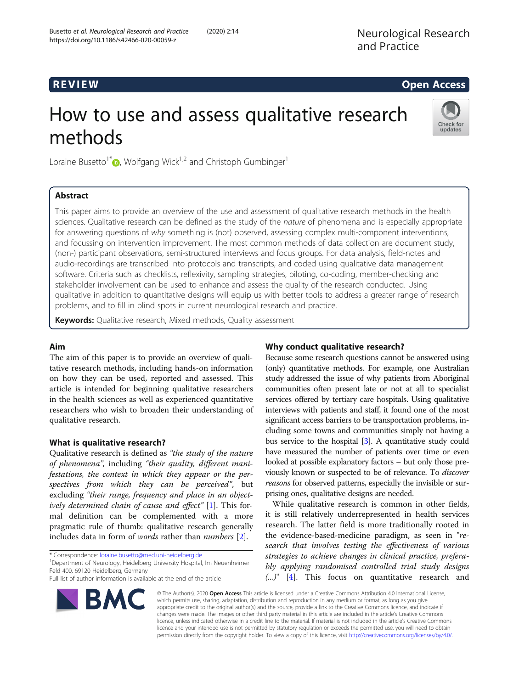# R EVI EW Open Access

# How to use and assess qualitative research methods



Loraine Busetto<sup>1\*</sup>  $\bullet$ , Wolfgang Wick<sup>1,2</sup> and Christoph Gumbinger<sup>1</sup>

# Abstract

This paper aims to provide an overview of the use and assessment of qualitative research methods in the health sciences. Qualitative research can be defined as the study of the nature of phenomena and is especially appropriate for answering questions of why something is (not) observed, assessing complex multi-component interventions, and focussing on intervention improvement. The most common methods of data collection are document study, (non-) participant observations, semi-structured interviews and focus groups. For data analysis, field-notes and audio-recordings are transcribed into protocols and transcripts, and coded using qualitative data management software. Criteria such as checklists, reflexivity, sampling strategies, piloting, co-coding, member-checking and stakeholder involvement can be used to enhance and assess the quality of the research conducted. Using qualitative in addition to quantitative designs will equip us with better tools to address a greater range of research problems, and to fill in blind spots in current neurological research and practice.

Keywords: Qualitative research, Mixed methods, Quality assessment

# Aim

The aim of this paper is to provide an overview of qualitative research methods, including hands-on information on how they can be used, reported and assessed. This article is intended for beginning qualitative researchers in the health sciences as well as experienced quantitative researchers who wish to broaden their understanding of qualitative research.

# What is qualitative research?

Qualitative research is defined as "the study of the nature of phenomena", including "their quality, different manifestations, the context in which they appear or the perspectives from which they can be perceived", but excluding "their range, frequency and place in an object-ively determined chain of cause and effect" [[1\]](#page-8-0). This formal definition can be complemented with a more pragmatic rule of thumb: qualitative research generally includes data in form of words rather than numbers [[2](#page-8-0)].

\* Correspondence: [loraine.busetto@med.uni-heidelberg.de](mailto:loraine.busetto@med.uni-heidelberg.de) <sup>1</sup>

BMC

<sup>1</sup> Department of Neurology, Heidelberg University Hospital, Im Neuenheimer Feld 400, 69120 Heidelberg, Germany

Full list of author information is available at the end of the article



Because some research questions cannot be answered using (only) quantitative methods. For example, one Australian study addressed the issue of why patients from Aboriginal communities often present late or not at all to specialist services offered by tertiary care hospitals. Using qualitative interviews with patients and staff, it found one of the most significant access barriers to be transportation problems, including some towns and communities simply not having a bus service to the hospital [\[3\]](#page-8-0). A quantitative study could have measured the number of patients over time or even looked at possible explanatory factors – but only those previously known or suspected to be of relevance. To discover reasons for observed patterns, especially the invisible or surprising ones, qualitative designs are needed.

While qualitative research is common in other fields, it is still relatively underrepresented in health services research. The latter field is more traditionally rooted in the evidence-based-medicine paradigm, as seen in "research that involves testing the effectiveness of various strategies to achieve changes in clinical practice, preferably applying randomised controlled trial study designs (...)" [[4\]](#page-8-0). This focus on quantitative research and

© The Author(s). 2020 Open Access This article is licensed under a Creative Commons Attribution 4.0 International License, which permits use, sharing, adaptation, distribution and reproduction in any medium or format, as long as you give appropriate credit to the original author(s) and the source, provide a link to the Creative Commons licence, and indicate if changes were made. The images or other third party material in this article are included in the article's Creative Commons licence, unless indicated otherwise in a credit line to the material. If material is not included in the article's Creative Commons licence and your intended use is not permitted by statutory regulation or exceeds the permitted use, you will need to obtain permission directly from the copyright holder. To view a copy of this licence, visit [http://creativecommons.org/licenses/by/4.0/.](http://creativecommons.org/licenses/by/4.0/)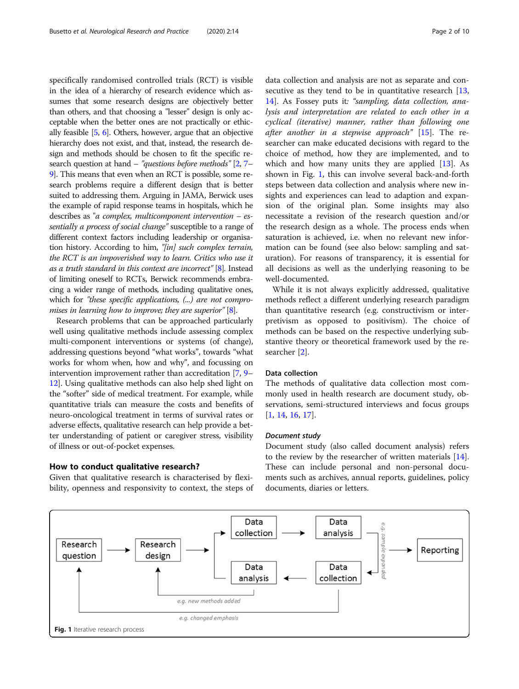specifically randomised controlled trials (RCT) is visible in the idea of a hierarchy of research evidence which assumes that some research designs are objectively better than others, and that choosing a "lesser" design is only acceptable when the better ones are not practically or ethically feasible [[5](#page-8-0), [6](#page-8-0)]. Others, however, argue that an objective hierarchy does not exist, and that, instead, the research design and methods should be chosen to fit the specific research question at hand – "questions before methods" [\[2](#page-8-0), [7](#page-8-0)– [9](#page-8-0)]. This means that even when an RCT is possible, some research problems require a different design that is better suited to addressing them. Arguing in JAMA, Berwick uses the example of rapid response teams in hospitals, which he describes as "a complex, multicomponent intervention – essentially a process of social change" susceptible to a range of different context factors including leadership or organisation history. According to him, "[in] such complex terrain, the RCT is an impoverished way to learn. Critics who use it as a truth standard in this context are incorrect" [[8](#page-8-0)]. Instead of limiting oneself to RCTs, Berwick recommends embracing a wider range of methods, including qualitative ones, which for "these specific applications, (...) are not compro-mises in learning how to improve; they are superior" [\[8\]](#page-8-0).

Research problems that can be approached particularly well using qualitative methods include assessing complex multi-component interventions or systems (of change), addressing questions beyond "what works", towards "what works for whom when, how and why", and focussing on intervention improvement rather than accreditation [\[7,](#page-8-0) [9](#page-8-0)– [12](#page-8-0)]. Using qualitative methods can also help shed light on the "softer" side of medical treatment. For example, while quantitative trials can measure the costs and benefits of neuro-oncological treatment in terms of survival rates or adverse effects, qualitative research can help provide a better understanding of patient or caregiver stress, visibility of illness or out-of-pocket expenses.

# How to conduct qualitative research?

Given that qualitative research is characterised by flexibility, openness and responsivity to context, the steps of data collection and analysis are not as separate and con-secutive as they tend to be in quantitative research [[13](#page-8-0), [14\]](#page-8-0). As Fossey puts it: "sampling, data collection, analysis and interpretation are related to each other in a cyclical (iterative) manner, rather than following one after another in a stepwise approach"  $[15]$ . The researcher can make educated decisions with regard to the choice of method, how they are implemented, and to which and how many units they are applied  $[13]$  $[13]$  $[13]$ . As shown in Fig. 1, this can involve several back-and-forth steps between data collection and analysis where new insights and experiences can lead to adaption and expansion of the original plan. Some insights may also necessitate a revision of the research question and/or the research design as a whole. The process ends when saturation is achieved, i.e. when no relevant new information can be found (see also below: sampling and saturation). For reasons of transparency, it is essential for all decisions as well as the underlying reasoning to be well-documented.

While it is not always explicitly addressed, qualitative methods reflect a different underlying research paradigm than quantitative research (e.g. constructivism or interpretivism as opposed to positivism). The choice of methods can be based on the respective underlying substantive theory or theoretical framework used by the researcher [[2\]](#page-8-0).

# Data collection

The methods of qualitative data collection most commonly used in health research are document study, observations, semi-structured interviews and focus groups [[1,](#page-8-0) [14,](#page-8-0) [16,](#page-8-0) [17\]](#page-8-0).

# Document study

Document study (also called document analysis) refers to the review by the researcher of written materials [\[14](#page-8-0)]. These can include personal and non-personal documents such as archives, annual reports, guidelines, policy documents, diaries or letters.

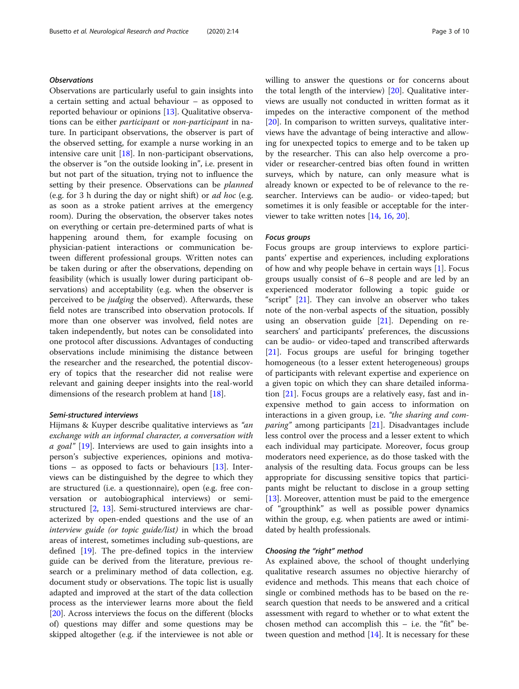# **Observations**

Observations are particularly useful to gain insights into a certain setting and actual behaviour – as opposed to reported behaviour or opinions [\[13](#page-8-0)]. Qualitative observations can be either participant or non-participant in nature. In participant observations, the observer is part of the observed setting, for example a nurse working in an intensive care unit [[18](#page-8-0)]. In non-participant observations, the observer is "on the outside looking in", i.e. present in but not part of the situation, trying not to influence the setting by their presence. Observations can be *planned* (e.g. for 3 h during the day or night shift) or ad hoc (e.g. as soon as a stroke patient arrives at the emergency room). During the observation, the observer takes notes on everything or certain pre-determined parts of what is happening around them, for example focusing on physician-patient interactions or communication between different professional groups. Written notes can be taken during or after the observations, depending on feasibility (which is usually lower during participant observations) and acceptability (e.g. when the observer is perceived to be judging the observed). Afterwards, these field notes are transcribed into observation protocols. If more than one observer was involved, field notes are taken independently, but notes can be consolidated into one protocol after discussions. Advantages of conducting observations include minimising the distance between the researcher and the researched, the potential discovery of topics that the researcher did not realise were relevant and gaining deeper insights into the real-world dimensions of the research problem at hand [[18\]](#page-8-0).

# Semi-structured interviews

Hijmans & Kuyper describe qualitative interviews as "an exchange with an informal character, a conversation with  $a$  goal" [\[19\]](#page-8-0). Interviews are used to gain insights into a person's subjective experiences, opinions and motivations – as opposed to facts or behaviours [[13\]](#page-8-0). Interviews can be distinguished by the degree to which they are structured (i.e. a questionnaire), open (e.g. free conversation or autobiographical interviews) or semistructured [\[2](#page-8-0), [13](#page-8-0)]. Semi-structured interviews are characterized by open-ended questions and the use of an interview guide (or topic guide/list) in which the broad areas of interest, sometimes including sub-questions, are defined [[19](#page-8-0)]. The pre-defined topics in the interview guide can be derived from the literature, previous research or a preliminary method of data collection, e.g. document study or observations. The topic list is usually adapted and improved at the start of the data collection process as the interviewer learns more about the field [[20\]](#page-8-0). Across interviews the focus on the different (blocks of) questions may differ and some questions may be skipped altogether (e.g. if the interviewee is not able or willing to answer the questions or for concerns about the total length of the interview) [[20](#page-8-0)]. Qualitative interviews are usually not conducted in written format as it impedes on the interactive component of the method [[20\]](#page-8-0). In comparison to written surveys, qualitative interviews have the advantage of being interactive and allowing for unexpected topics to emerge and to be taken up by the researcher. This can also help overcome a provider or researcher-centred bias often found in written surveys, which by nature, can only measure what is already known or expected to be of relevance to the researcher. Interviews can be audio- or video-taped; but sometimes it is only feasible or acceptable for the interviewer to take written notes [\[14](#page-8-0), [16,](#page-8-0) [20\]](#page-8-0).

# Focus groups

Focus groups are group interviews to explore participants' expertise and experiences, including explorations of how and why people behave in certain ways [[1\]](#page-8-0). Focus groups usually consist of 6–8 people and are led by an experienced moderator following a topic guide or "script" [[21\]](#page-8-0). They can involve an observer who takes note of the non-verbal aspects of the situation, possibly using an observation guide [\[21](#page-8-0)]. Depending on researchers' and participants' preferences, the discussions can be audio- or video-taped and transcribed afterwards [[21\]](#page-8-0). Focus groups are useful for bringing together homogeneous (to a lesser extent heterogeneous) groups of participants with relevant expertise and experience on a given topic on which they can share detailed information [[21](#page-8-0)]. Focus groups are a relatively easy, fast and inexpensive method to gain access to information on interactions in a given group, i.e. "the sharing and com-paring" among participants [[21\]](#page-8-0). Disadvantages include less control over the process and a lesser extent to which each individual may participate. Moreover, focus group moderators need experience, as do those tasked with the analysis of the resulting data. Focus groups can be less appropriate for discussing sensitive topics that participants might be reluctant to disclose in a group setting [[13\]](#page-8-0). Moreover, attention must be paid to the emergence of "groupthink" as well as possible power dynamics within the group, e.g. when patients are awed or intimidated by health professionals.

# Choosing the "right" method

As explained above, the school of thought underlying qualitative research assumes no objective hierarchy of evidence and methods. This means that each choice of single or combined methods has to be based on the research question that needs to be answered and a critical assessment with regard to whether or to what extent the chosen method can accomplish this – i.e. the "fit" between question and method [[14\]](#page-8-0). It is necessary for these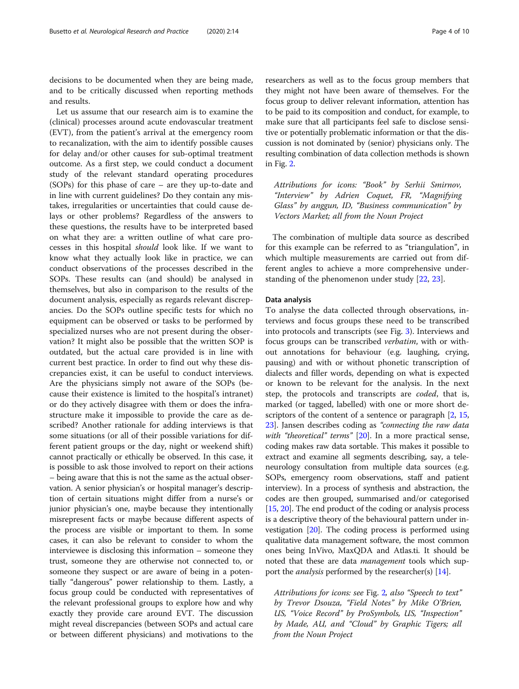decisions to be documented when they are being made, and to be critically discussed when reporting methods and results.

Let us assume that our research aim is to examine the (clinical) processes around acute endovascular treatment (EVT), from the patient's arrival at the emergency room to recanalization, with the aim to identify possible causes for delay and/or other causes for sub-optimal treatment outcome. As a first step, we could conduct a document study of the relevant standard operating procedures (SOPs) for this phase of care – are they up-to-date and in line with current guidelines? Do they contain any mistakes, irregularities or uncertainties that could cause delays or other problems? Regardless of the answers to these questions, the results have to be interpreted based on what they are: a written outline of what care processes in this hospital should look like. If we want to know what they actually look like in practice, we can conduct observations of the processes described in the SOPs. These results can (and should) be analysed in themselves, but also in comparison to the results of the document analysis, especially as regards relevant discrepancies. Do the SOPs outline specific tests for which no equipment can be observed or tasks to be performed by specialized nurses who are not present during the observation? It might also be possible that the written SOP is outdated, but the actual care provided is in line with current best practice. In order to find out why these discrepancies exist, it can be useful to conduct interviews. Are the physicians simply not aware of the SOPs (because their existence is limited to the hospital's intranet) or do they actively disagree with them or does the infrastructure make it impossible to provide the care as described? Another rationale for adding interviews is that some situations (or all of their possible variations for different patient groups or the day, night or weekend shift) cannot practically or ethically be observed. In this case, it is possible to ask those involved to report on their actions – being aware that this is not the same as the actual observation. A senior physician's or hospital manager's description of certain situations might differ from a nurse's or junior physician's one, maybe because they intentionally misrepresent facts or maybe because different aspects of the process are visible or important to them. In some cases, it can also be relevant to consider to whom the interviewee is disclosing this information – someone they trust, someone they are otherwise not connected to, or someone they suspect or are aware of being in a potentially "dangerous" power relationship to them. Lastly, a focus group could be conducted with representatives of the relevant professional groups to explore how and why exactly they provide care around EVT. The discussion might reveal discrepancies (between SOPs and actual care or between different physicians) and motivations to the

researchers as well as to the focus group members that they might not have been aware of themselves. For the focus group to deliver relevant information, attention has to be paid to its composition and conduct, for example, to make sure that all participants feel safe to disclose sensitive or potentially problematic information or that the discussion is not dominated by (senior) physicians only. The resulting combination of data collection methods is shown in Fig. [2.](#page-4-0)

Attributions for icons: "Book" by Serhii Smirnov, "Interview" by Adrien Coquet, FR, "Magnifying Glass" by anggun, ID, "Business communication" by Vectors Market; all from the Noun Project

The combination of multiple data source as described for this example can be referred to as "triangulation", in which multiple measurements are carried out from different angles to achieve a more comprehensive understanding of the phenomenon under study [[22,](#page-8-0) [23\]](#page-8-0).

# Data analysis

To analyse the data collected through observations, interviews and focus groups these need to be transcribed into protocols and transcripts (see Fig. [3](#page-4-0)). Interviews and focus groups can be transcribed verbatim, with or without annotations for behaviour (e.g. laughing, crying, pausing) and with or without phonetic transcription of dialects and filler words, depending on what is expected or known to be relevant for the analysis. In the next step, the protocols and transcripts are coded, that is, marked (or tagged, labelled) with one or more short de-scriptors of the content of a sentence or paragraph [[2,](#page-8-0) [15](#page-8-0), [23](#page-8-0)]. Jansen describes coding as "connecting the raw data with "theoretical" terms"  $[20]$  $[20]$  $[20]$ . In a more practical sense, coding makes raw data sortable. This makes it possible to extract and examine all segments describing, say, a teleneurology consultation from multiple data sources (e.g. SOPs, emergency room observations, staff and patient interview). In a process of synthesis and abstraction, the codes are then grouped, summarised and/or categorised [[15](#page-8-0), [20\]](#page-8-0). The end product of the coding or analysis process is a descriptive theory of the behavioural pattern under investigation [\[20\]](#page-8-0). The coding process is performed using qualitative data management software, the most common ones being InVivo, MaxQDA and Atlas.ti. It should be noted that these are data management tools which support the *analysis* performed by the researcher(s) [[14](#page-8-0)].

Attributions for icons: see Fig. [2](#page-4-0), also "Speech to text" by Trevor Dsouza, "Field Notes" by Mike O'Brien, US, "Voice Record" by ProSymbols, US, "Inspection" by Made, AU, and "Cloud" by Graphic Tigers; all from the Noun Project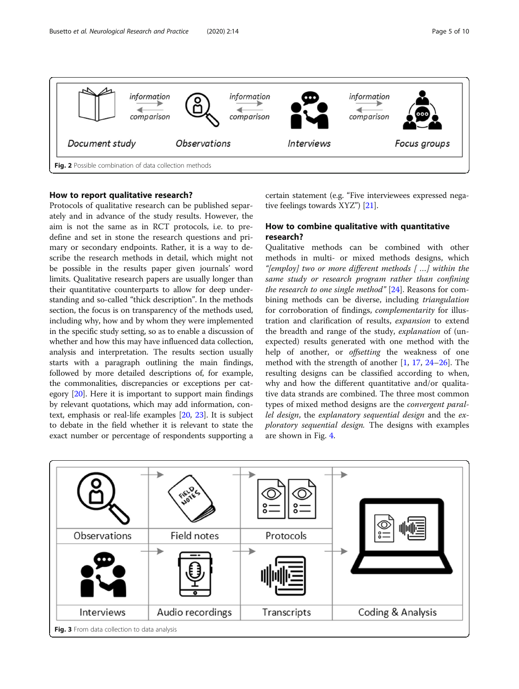<span id="page-4-0"></span>

# How to report qualitative research?

Protocols of qualitative research can be published separately and in advance of the study results. However, the aim is not the same as in RCT protocols, i.e. to predefine and set in stone the research questions and primary or secondary endpoints. Rather, it is a way to describe the research methods in detail, which might not be possible in the results paper given journals' word limits. Qualitative research papers are usually longer than their quantitative counterparts to allow for deep understanding and so-called "thick description". In the methods section, the focus is on transparency of the methods used, including why, how and by whom they were implemented in the specific study setting, so as to enable a discussion of whether and how this may have influenced data collection, analysis and interpretation. The results section usually starts with a paragraph outlining the main findings, followed by more detailed descriptions of, for example, the commonalities, discrepancies or exceptions per category [\[20\]](#page-8-0). Here it is important to support main findings by relevant quotations, which may add information, context, emphasis or real-life examples [[20](#page-8-0), [23\]](#page-8-0). It is subject to debate in the field whether it is relevant to state the exact number or percentage of respondents supporting a

certain statement (e.g. "Five interviewees expressed negative feelings towards XYZ") [[21](#page-8-0)].

# How to combine qualitative with quantitative research?

Qualitative methods can be combined with other methods in multi- or mixed methods designs, which "[employ] two or more different methods [ …] within the same study or research program rather than confining the research to one single method"  $[24]$ . Reasons for combining methods can be diverse, including triangulation for corroboration of findings, complementarity for illustration and clarification of results, expansion to extend the breadth and range of the study, explanation of (unexpected) results generated with one method with the help of another, or *offsetting* the weakness of one method with the strength of another  $[1, 17, 24-26]$  $[1, 17, 24-26]$  $[1, 17, 24-26]$  $[1, 17, 24-26]$  $[1, 17, 24-26]$  $[1, 17, 24-26]$  $[1, 17, 24-26]$  $[1, 17, 24-26]$ . The resulting designs can be classified according to when, why and how the different quantitative and/or qualitative data strands are combined. The three most common types of mixed method designs are the convergent parallel design, the explanatory sequential design and the exploratory sequential design. The designs with examples are shown in Fig. [4.](#page-5-0)

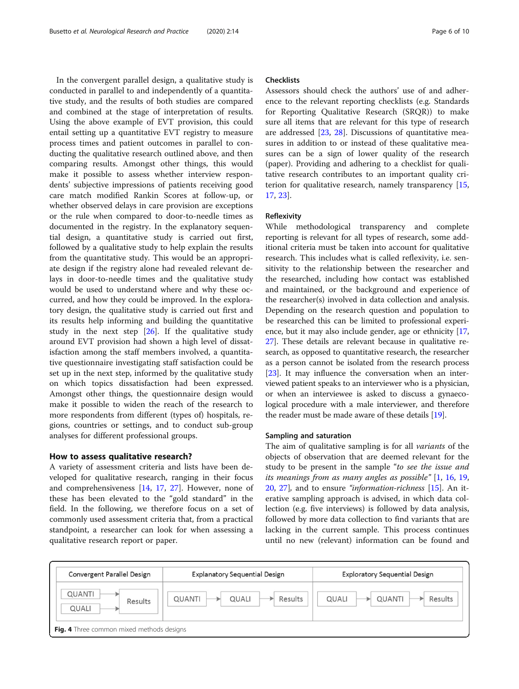<span id="page-5-0"></span>In the convergent parallel design, a qualitative study is conducted in parallel to and independently of a quantitative study, and the results of both studies are compared and combined at the stage of interpretation of results. Using the above example of EVT provision, this could entail setting up a quantitative EVT registry to measure process times and patient outcomes in parallel to conducting the qualitative research outlined above, and then comparing results. Amongst other things, this would make it possible to assess whether interview respondents' subjective impressions of patients receiving good care match modified Rankin Scores at follow-up, or whether observed delays in care provision are exceptions or the rule when compared to door-to-needle times as documented in the registry. In the explanatory sequential design, a quantitative study is carried out first, followed by a qualitative study to help explain the results from the quantitative study. This would be an appropriate design if the registry alone had revealed relevant delays in door-to-needle times and the qualitative study would be used to understand where and why these occurred, and how they could be improved. In the exploratory design, the qualitative study is carried out first and its results help informing and building the quantitative study in the next step  $[26]$  $[26]$ . If the qualitative study around EVT provision had shown a high level of dissatisfaction among the staff members involved, a quantitative questionnaire investigating staff satisfaction could be set up in the next step, informed by the qualitative study on which topics dissatisfaction had been expressed. Amongst other things, the questionnaire design would make it possible to widen the reach of the research to more respondents from different (types of) hospitals, regions, countries or settings, and to conduct sub-group analyses for different professional groups.

# How to assess qualitative research?

A variety of assessment criteria and lists have been developed for qualitative research, ranging in their focus and comprehensiveness [\[14](#page-8-0), [17,](#page-8-0) [27](#page-8-0)]. However, none of these has been elevated to the "gold standard" in the field. In the following, we therefore focus on a set of commonly used assessment criteria that, from a practical standpoint, a researcher can look for when assessing a qualitative research report or paper.

# **Checklists**

Assessors should check the authors' use of and adherence to the relevant reporting checklists (e.g. Standards for Reporting Qualitative Research (SRQR)) to make sure all items that are relevant for this type of research are addressed [\[23,](#page-8-0) [28\]](#page-8-0). Discussions of quantitative measures in addition to or instead of these qualitative measures can be a sign of lower quality of the research (paper). Providing and adhering to a checklist for qualitative research contributes to an important quality criterion for qualitative research, namely transparency [[15](#page-8-0), [17,](#page-8-0) [23](#page-8-0)].

# Reflexivity

While methodological transparency and complete reporting is relevant for all types of research, some additional criteria must be taken into account for qualitative research. This includes what is called reflexivity, i.e. sensitivity to the relationship between the researcher and the researched, including how contact was established and maintained, or the background and experience of the researcher(s) involved in data collection and analysis. Depending on the research question and population to be researched this can be limited to professional experience, but it may also include gender, age or ethnicity [[17](#page-8-0), [27](#page-8-0)]. These details are relevant because in qualitative research, as opposed to quantitative research, the researcher as a person cannot be isolated from the research process [[23](#page-8-0)]. It may influence the conversation when an interviewed patient speaks to an interviewer who is a physician, or when an interviewee is asked to discuss a gynaecological procedure with a male interviewer, and therefore the reader must be made aware of these details [[19](#page-8-0)].

# Sampling and saturation

The aim of qualitative sampling is for all variants of the objects of observation that are deemed relevant for the study to be present in the sample "to see the issue and its meanings from as many angles as possible"  $[1, 16, 19, 19]$  $[1, 16, 19, 19]$  $[1, 16, 19, 19]$  $[1, 16, 19, 19]$  $[1, 16, 19, 19]$  $[1, 16, 19, 19]$  $[1, 16, 19, 19]$ [20,](#page-8-0) [27](#page-8-0)], and to ensure "information-richness [\[15](#page-8-0)]. An iterative sampling approach is advised, in which data collection (e.g. five interviews) is followed by data analysis, followed by more data collection to find variants that are lacking in the current sample. This process continues until no new (relevant) information can be found and

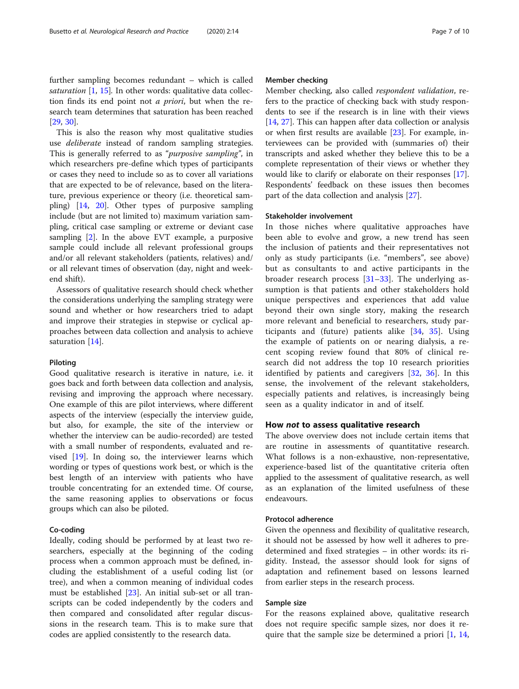This is also the reason why most qualitative studies use deliberate instead of random sampling strategies. This is generally referred to as "purposive sampling", in which researchers pre-define which types of participants or cases they need to include so as to cover all variations that are expected to be of relevance, based on the literature, previous experience or theory (i.e. theoretical sampling) [[14](#page-8-0), [20\]](#page-8-0). Other types of purposive sampling include (but are not limited to) maximum variation sampling, critical case sampling or extreme or deviant case sampling [[2\]](#page-8-0). In the above EVT example, a purposive sample could include all relevant professional groups and/or all relevant stakeholders (patients, relatives) and/ or all relevant times of observation (day, night and weekend shift).

Assessors of qualitative research should check whether the considerations underlying the sampling strategy were sound and whether or how researchers tried to adapt and improve their strategies in stepwise or cyclical approaches between data collection and analysis to achieve saturation [[14\]](#page-8-0).

# Piloting

Good qualitative research is iterative in nature, i.e. it goes back and forth between data collection and analysis, revising and improving the approach where necessary. One example of this are pilot interviews, where different aspects of the interview (especially the interview guide, but also, for example, the site of the interview or whether the interview can be audio-recorded) are tested with a small number of respondents, evaluated and revised [[19\]](#page-8-0). In doing so, the interviewer learns which wording or types of questions work best, or which is the best length of an interview with patients who have trouble concentrating for an extended time. Of course, the same reasoning applies to observations or focus groups which can also be piloted.

# Co-coding

Ideally, coding should be performed by at least two researchers, especially at the beginning of the coding process when a common approach must be defined, including the establishment of a useful coding list (or tree), and when a common meaning of individual codes must be established [\[23\]](#page-8-0). An initial sub-set or all transcripts can be coded independently by the coders and then compared and consolidated after regular discussions in the research team. This is to make sure that codes are applied consistently to the research data.

# Member checking

Member checking, also called respondent validation, refers to the practice of checking back with study respondents to see if the research is in line with their views [[14,](#page-8-0) [27\]](#page-8-0). This can happen after data collection or analysis or when first results are available [[23\]](#page-8-0). For example, interviewees can be provided with (summaries of) their transcripts and asked whether they believe this to be a complete representation of their views or whether they would like to clarify or elaborate on their responses [\[17](#page-8-0)]. Respondents' feedback on these issues then becomes part of the data collection and analysis [[27\]](#page-8-0).

# Stakeholder involvement

In those niches where qualitative approaches have been able to evolve and grow, a new trend has seen the inclusion of patients and their representatives not only as study participants (i.e. "members", see above) but as consultants to and active participants in the broader research process [[31](#page-8-0)–[33](#page-8-0)]. The underlying assumption is that patients and other stakeholders hold unique perspectives and experiences that add value beyond their own single story, making the research more relevant and beneficial to researchers, study participants and (future) patients alike [\[34](#page-8-0), [35\]](#page-8-0). Using the example of patients on or nearing dialysis, a recent scoping review found that 80% of clinical research did not address the top 10 research priorities identified by patients and caregivers [[32,](#page-8-0) [36](#page-9-0)]. In this sense, the involvement of the relevant stakeholders, especially patients and relatives, is increasingly being seen as a quality indicator in and of itself.

# How not to assess qualitative research

The above overview does not include certain items that are routine in assessments of quantitative research. What follows is a non-exhaustive, non-representative, experience-based list of the quantitative criteria often applied to the assessment of qualitative research, as well as an explanation of the limited usefulness of these endeavours.

# Protocol adherence

Given the openness and flexibility of qualitative research, it should not be assessed by how well it adheres to predetermined and fixed strategies – in other words: its rigidity. Instead, the assessor should look for signs of adaptation and refinement based on lessons learned from earlier steps in the research process.

# Sample size

For the reasons explained above, qualitative research does not require specific sample sizes, nor does it require that the sample size be determined a priori [\[1](#page-8-0), [14](#page-8-0),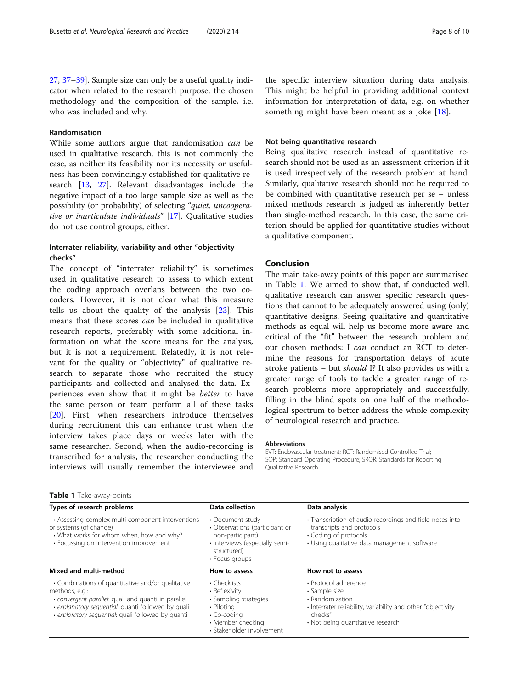# Randomisation

While some authors argue that randomisation can be used in qualitative research, this is not commonly the case, as neither its feasibility nor its necessity or usefulness has been convincingly established for qualitative research [\[13](#page-8-0), [27](#page-8-0)]. Relevant disadvantages include the negative impact of a too large sample size as well as the possibility (or probability) of selecting "quiet, uncooperative or inarticulate individuals" [[17\]](#page-8-0). Qualitative studies do not use control groups, either.

# Interrater reliability, variability and other "objectivity checks"

The concept of "interrater reliability" is sometimes used in qualitative research to assess to which extent the coding approach overlaps between the two cocoders. However, it is not clear what this measure tells us about the quality of the analysis [[23\]](#page-8-0). This means that these scores can be included in qualitative research reports, preferably with some additional information on what the score means for the analysis, but it is not a requirement. Relatedly, it is not relevant for the quality or "objectivity" of qualitative research to separate those who recruited the study participants and collected and analysed the data. Experiences even show that it might be better to have the same person or team perform all of these tasks [[20\]](#page-8-0). First, when researchers introduce themselves during recruitment this can enhance trust when the interview takes place days or weeks later with the same researcher. Second, when the audio-recording is transcribed for analysis, the researcher conducting the interviews will usually remember the interviewee and the specific interview situation during data analysis. This might be helpful in providing additional context information for interpretation of data, e.g. on whether something might have been meant as a joke [[18\]](#page-8-0).

# Not being quantitative research

Being qualitative research instead of quantitative research should not be used as an assessment criterion if it is used irrespectively of the research problem at hand. Similarly, qualitative research should not be required to be combined with quantitative research per se – unless mixed methods research is judged as inherently better than single-method research. In this case, the same criterion should be applied for quantitative studies without a qualitative component.

# Conclusion

The main take-away points of this paper are summarised in Table 1. We aimed to show that, if conducted well, qualitative research can answer specific research questions that cannot to be adequately answered using (only) quantitative designs. Seeing qualitative and quantitative methods as equal will help us become more aware and critical of the "fit" between the research problem and our chosen methods: I can conduct an RCT to determine the reasons for transportation delays of acute stroke patients – but should I? It also provides us with a greater range of tools to tackle a greater range of research problems more appropriately and successfully, filling in the blind spots on one half of the methodological spectrum to better address the whole complexity of neurological research and practice.

## Abbreviations

EVT: Endovascular treatment; RCT: Randomised Controlled Trial; SOP: Standard Operating Procedure; SRQR: Standards for Reporting Qualitative Research

# Table 1 Take-away-points

# Types of research problems Types of research problems Data collection Data collection

- Assessing complex multi-component interventions
- or systems (of change)
- What works for whom when, how and why? • Focussing on intervention improvement

# Mixed and multi-method **How to assess** How to assess How not to assess

- Combinations of quantitative and/or qualitative methods, e.g.:
- convergent parallel: quali and quanti in parallel
- explanatory sequential: quanti followed by quali
- exploratory sequential: quali followed by quanti

- Document study • Observations (participant or non-participant)
- Interviews (especially semi-
- structured) • Focus groups

- Checklists
- Reflexivity
- Sampling strategies
- Piloting
- Co-coding
- Member checking
- Stakeholder involvement
- Transcription of audio-recordings and field notes into
- transcripts and protocols
- Coding of protocols
- Using qualitative data management software

- Protocol adherence
- Sample size
- Randomization
- Interrater reliability, variability and other "objectivity checks"
- Not being quantitative research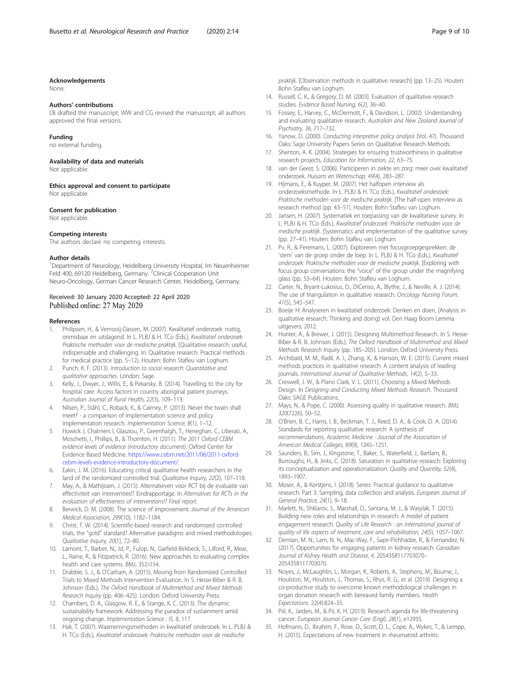#### <span id="page-8-0"></span>Acknowledgements

None.

### Authors' contributions

LB drafted the manuscript: WW and CG revised the manuscript: all authors approved the final versions.

### Funding

no external funding.

## Availability of data and materials

Not applicable.

Ethics approval and consent to participate Not applicable.

#### Consent for publication

Not applicable.

### Competing interests

The authors declare no competing interests.

#### Author details

<sup>1</sup>Department of Neurology, Heidelberg University Hospital, Im Neuenheimer Feld 400, 69120 Heidelberg, Germany. <sup>2</sup>Clinical Cooperation Unit Neuro-Oncology, German Cancer Research Center, Heidelberg, Germany.

# Received: 30 January 2020 Accepted: 22 April 2020 Published online: 27 May 2020

### References

- 1. Philipsen, H., & Vernooij-Dassen, M. (2007). Kwalitatief onderzoek: nuttig, onmisbaar en uitdagend. In L. PLBJ & H. TCo (Eds.), Kwalitatief onderzoek: Praktische methoden voor de medische praktijk. [Qualitative research: useful, indispensable and challenging. In: Qualitative research: Practical methods for medical practice (pp. 5–12). Houten: Bohn Stafleu van Loghum.
- 2. Punch, K. F. (2013). Introduction to social research: Quantitative and qualitative approaches. London: Sage.
- 3. Kelly, J., Dwyer, J., Willis, E., & Pekarsky, B. (2014). Travelling to the city for hospital care: Access factors in country aboriginal patient journeys. Australian Journal of Rural Health, 22(3), 109–113.
- 4. Nilsen, P., Ståhl, C., Roback, K., & Cairney, P. (2013). Never the twain shall meet? - a comparison of implementation science and policy implementation research. Implementation Science, 8(1), 1–12.
- 5. Howick J, Chalmers I, Glasziou, P., Greenhalgh, T., Heneghan, C., Liberati, A., Moschetti, I., Phillips, B., & Thornton, H. (2011). The 2011 Oxford CEBM evidence levels of evidence (introductory document). Oxford Center for Evidence Based Medicine. [https://www.cebm.net/2011/06/2011-oxford](https://www.cebm.net/2011/06/2011-oxford-cebm-levels-evidence-introductory-document/)[cebm-levels-evidence-introductory-document/.](https://www.cebm.net/2011/06/2011-oxford-cebm-levels-evidence-introductory-document/)
- 6. Eakin, J. M. (2016). Educating critical qualitative health researchers in the land of the randomized controlled trial. Qualitative Inquiry, 22(2), 107-118.
- 7. May, A., & Mathijssen, J. (2015). Alternatieven voor RCT bij de evaluatie van effectiviteit van interventies!? Eindrapportage. In Alternatives for RCTs in the evaluation of effectiveness of interventions!? Final report.
- 8. Berwick, D. M. (2008). The science of improvement. Journal of the American Medical Association, 299(10), 1182–1184.
- 9. Christ, T. W. (2014). Scientific-based research and randomized controlled trials, the "gold" standard? Alternative paradigms and mixed methodologies. Qualitative Inquiry, 20(1), 72–80.
- 10. Lamont, T., Barber, N., Jd, P., Fulop, N., Garfield-Birkbeck, S., Lilford, R., Mear, L., Raine, R., & Fitzpatrick, R. (2016). New approaches to evaluating complex health and care systems. BMJ, 352:i154.
- 11. Drabble, S. J., & O'Cathain, A. (2015). Moving from Randomized Controlled Trials to Mixed Methods Intervention Evaluation. In S. Hesse-Biber & R. B. Johnson (Eds.), The Oxford Handbook of Multimethod and Mixed Methods Research Inquiry (pp. 406–425). London: Oxford University Press.
- 12. Chambers, D. A., Glasgow, R. E., & Stange, K. C. (2013). The dynamic sustainability framework: Addressing the paradox of sustainment amid ongoing change. Implementation Science : IS, 8, 117.
- 13. Hak, T. (2007). Waarnemingsmethoden in kwalitatief onderzoek. In L. PLBJ & H. TCo (Eds.), Kwalitatief onderzoek: Praktische methoden voor de medische

praktijk. [Observation methods in qualitative research] (pp. 13–25). Houten: Bohn Stafleu van Loghum.

- 14. Russell, C. K., & Gregory, D. M. (2003). Evaluation of qualitative research studies. Evidence Based Nursing, 6(2), 36-40.
- 15. Fossey, E., Harvey, C., McDermott, F., & Davidson, L. (2002). Understanding and evaluating qualitative research. Australian and New Zealand Journal of Psychiatry, 36, 717–732.
- 16. Yanow, D. (2000). Conducting interpretive policy analysis (Vol. 47). Thousand Oaks: Sage University Papers Series on Qualitative Research Methods.
- 17. Shenton, A. K. (2004). Strategies for ensuring trustworthiness in qualitative research projects. Education for Information, 22, 63–75.
- 18. van der Geest, S. (2006). Participeren in ziekte en zorg: meer over kwalitatief onderzoek. Huisarts en Wetenschap, 49(4), 283–287.
- 19. Hijmans, E., & Kuyper, M. (2007). Het halfopen interview als onderzoeksmethode. In L. PLBJ & H. TCo (Eds.), Kwalitatief onderzoek: Praktische methoden voor de medische praktijk. [The half-open interview as research method (pp. 43–51). Houten: Bohn Stafleu van Loghum.
- 20. Jansen, H. (2007). Systematiek en toepassing van de kwalitatieve survey. In L. PLBJ & H. TCo (Eds.), Kwalitatief onderzoek: Praktische methoden voor de medische praktijk. [Systematics and implementation of the qualitative survey (pp. 27–41). Houten: Bohn Stafleu van Loghum.
- 21. Pv, R., & Peremans, L. (2007). Exploreren met focusgroepgesprekken: de 'stem' van de groep onder de loep. In L. PLBJ & H. TCo (Eds.), Kwalitatief onderzoek: Praktische methoden voor de medische praktijk. [Exploring with focus group conversations: the "voice" of the group under the magnifying glass (pp. 53–64). Houten: Bohn Stafleu van Loghum.
- 22. Carter, N., Bryant-Lukosius, D., DiCenso, A., Blythe, J., & Neville, A. J. (2014). The use of triangulation in qualitative research. Oncology Nursing Forum, 41(5), 545–547.
- 23. Boeije H: Analyseren in kwalitatief onderzoek: Denken en doen, [Analysis in qualitative research: Thinking and doing] vol. Den Haag Boom Lemma uitgevers; 2012.
- 24. Hunter, A., & Brewer, J. (2015). Designing Multimethod Research. In S. Hesse-Biber & R. B. Johnson (Eds.), The Oxford Handbook of Multimethod and Mixed Methods Research Inquiry (pp. 185–205). London: Oxford University Press.
- 25. Archibald, M. M., Radil, A. I., Zhang, X., & Hanson, W. E. (2015). Current mixed methods practices in qualitative research: A content analysis of leading journals. International Journal of Qualitative Methods, 14(2), 5–33.
- 26. Creswell, J. W., & Plano Clark, V. L. (2011). Choosing a Mixed Methods Design. In Designing and Conducting Mixed Methods Research. Thousand Oaks: SAGE Publications.
- 27. Mays, N., & Pope, C. (2000). Assessing quality in qualitative research. BMJ, 320(7226), 50–52.
- 28. O'Brien, B. C., Harris, I. B., Beckman, T. J., Reed, D. A., & Cook, D. A. (2014). Standards for reporting qualitative research: A synthesis of recommendations. Academic Medicine : Journal of the Association of American Medical Colleges, 89(9), 1245–1251.
- 29. Saunders, B., Sim, J., Kingstone, T., Baker, S., Waterfield, J., Bartlam, B., Burroughs, H., & Jinks, C. (2018). Saturation in qualitative research: Exploring its conceptualization and operationalization. Quality and Quantity, 52(4), 1893–1907.
- 30. Moser, A., & Korstjens, I. (2018). Series: Practical guidance to qualitative research. Part 3: Sampling, data collection and analysis. European Journal of General Practice, 24(1), 9–18.
- 31. Marlett, N., Shklarov, S., Marshall, D., Santana, M. J., & Wasylak, T. (2015). Building new roles and relationships in research: A model of patient engagement research. Quality of Life Research : an international journal of quality of life aspects of treatment, care and rehabilitation, 24(5), 1057–1067.
- 32. Demian, M. N., Lam, N. N., Mac-Way, F., Sapir-Pichhadze, R., & Fernandez, N. (2017). Opportunities for engaging patients in kidney research. Canadian Journal of Kidney Health and Disease, 4, 2054358117703070– 2054358117703070.
- 33. Noyes, J., McLaughlin, L., Morgan, K., Roberts, A., Stephens, M., Bourne, J., Houlston, M., Houlston, J., Thomas, S., Rhys, R. G., et al. (2019). Designing a co-productive study to overcome known methodological challenges in organ donation research with bereaved family members. Health Expectations. 22(4):824–35.
- 34. Piil, K., Jarden, M., & Pii, K. H. (2019). Research agenda for life-threatening cancer. European Journal Cancer Care (Engl), 28(1), e12935.
- 35. Hofmann, D., Ibrahim, F., Rose, D., Scott, D. L., Cope, A., Wykes, T., & Lempp, H. (2015). Expectations of new treatment in rheumatoid arthritis: